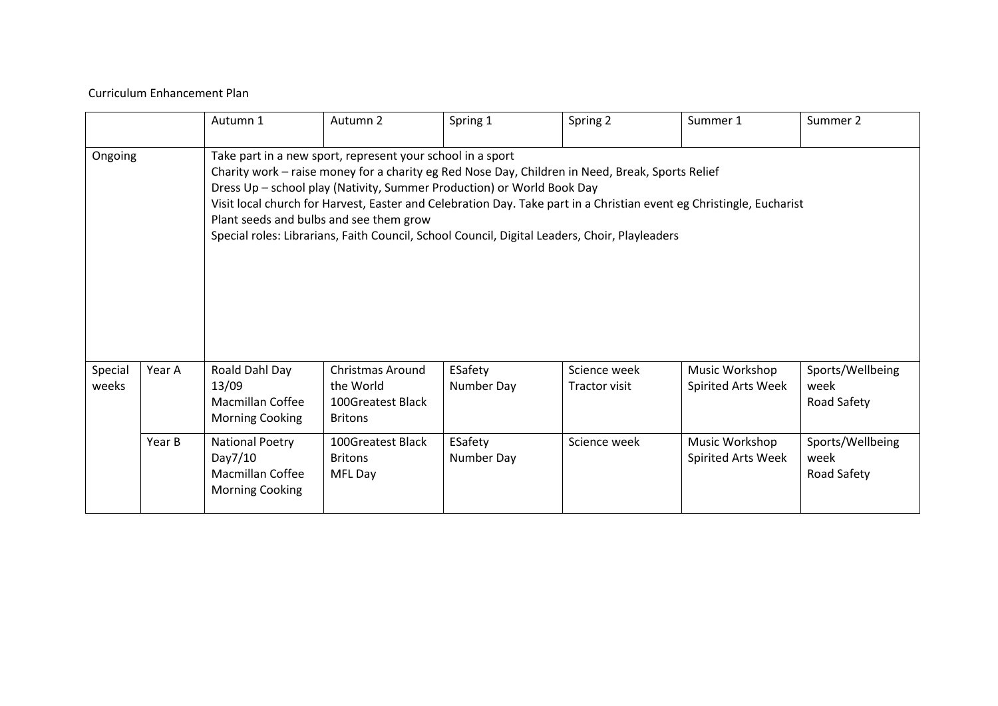## Curriculum Enhancement Plan

|                  |        | Autumn 1                                                                        | Autumn 2                                                                                              | Spring 1                                                                                                                                                                                                                                                                                                                                                                                            | Spring 2                      | Summer 1                             | Summer 2                                |
|------------------|--------|---------------------------------------------------------------------------------|-------------------------------------------------------------------------------------------------------|-----------------------------------------------------------------------------------------------------------------------------------------------------------------------------------------------------------------------------------------------------------------------------------------------------------------------------------------------------------------------------------------------------|-------------------------------|--------------------------------------|-----------------------------------------|
| Ongoing          |        |                                                                                 | Take part in a new sport, represent your school in a sport<br>Plant seeds and bulbs and see them grow | Charity work - raise money for a charity eg Red Nose Day, Children in Need, Break, Sports Relief<br>Dress Up - school play (Nativity, Summer Production) or World Book Day<br>Visit local church for Harvest, Easter and Celebration Day. Take part in a Christian event eg Christingle, Eucharist<br>Special roles: Librarians, Faith Council, School Council, Digital Leaders, Choir, Playleaders |                               |                                      |                                         |
| Special<br>weeks | Year A | Roald Dahl Day<br>13/09<br><b>Macmillan Coffee</b><br>Morning Cooking           | <b>Christmas Around</b><br>the World<br>100Greatest Black<br><b>Britons</b>                           | ESafety<br>Number Day                                                                                                                                                                                                                                                                                                                                                                               | Science week<br>Tractor visit | Music Workshop<br>Spirited Arts Week | Sports/Wellbeing<br>week<br>Road Safety |
|                  | Year B | <b>National Poetry</b><br>Day7/10<br>Macmillan Coffee<br><b>Morning Cooking</b> | 100Greatest Black<br><b>Britons</b><br>MFL Day                                                        | ESafety<br>Number Day                                                                                                                                                                                                                                                                                                                                                                               | Science week                  | Music Workshop<br>Spirited Arts Week | Sports/Wellbeing<br>week<br>Road Safety |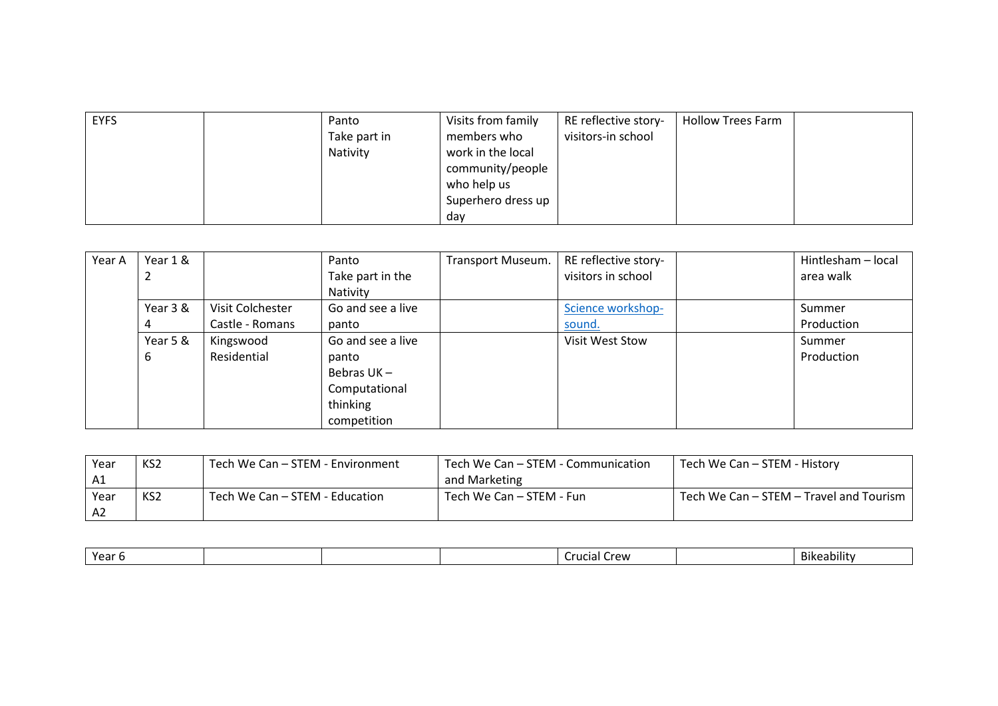| <b>EYFS</b> | Panto        | Visits from family | RE reflective story- | <b>Hollow Trees Farm</b> |  |
|-------------|--------------|--------------------|----------------------|--------------------------|--|
|             | Take part in | members who        | visitors-in school   |                          |  |
|             | Nativity     | work in the local  |                      |                          |  |
|             |              | community/people   |                      |                          |  |
|             |              | who help us        |                      |                          |  |
|             |              | Superhero dress up |                      |                          |  |
|             |              | dav                |                      |                          |  |

| Year A | Year 1 & |                  | Panto             | Transport Museum. | RE reflective story- | Hintlesham - local |
|--------|----------|------------------|-------------------|-------------------|----------------------|--------------------|
|        |          |                  | Take part in the  |                   | visitors in school   | area walk          |
|        |          |                  | Nativity          |                   |                      |                    |
|        | Year 3 & | Visit Colchester | Go and see a live |                   | Science workshop-    | Summer             |
|        |          | Castle - Romans  | panto             |                   | sound.               | Production         |
|        | Year 5 & | Kingswood        | Go and see a live |                   | Visit West Stow      | Summer             |
|        | 6        | Residential      | panto             |                   |                      | Production         |
|        |          |                  | Bebras UK-        |                   |                      |                    |
|        |          |                  | Computational     |                   |                      |                    |
|        |          |                  | thinking          |                   |                      |                    |
|        |          |                  | competition       |                   |                      |                    |

| Year           | KS <sub>2</sub> | Tech We Can – STEM - Environment | Tech We Can – STEM - Communication | Tech We Can – STEM - History            |
|----------------|-----------------|----------------------------------|------------------------------------|-----------------------------------------|
| A1             |                 |                                  | and Marketing                      |                                         |
| Year           | KS <sub>2</sub> | Tech We Can – STEM - Education   | Tech We Can – STEM - Fun           | Tech We Can – STEM – Travel and Tourism |
| A <sub>2</sub> |                 |                                  |                                    |                                         |

|  | $V_{\alpha}$<br>ca |  |  | $r_{\text{OM}}$<br>.<br>ШC<br>лаг |  | Bike<br>eabilit\ |
|--|--------------------|--|--|-----------------------------------|--|------------------|
|--|--------------------|--|--|-----------------------------------|--|------------------|